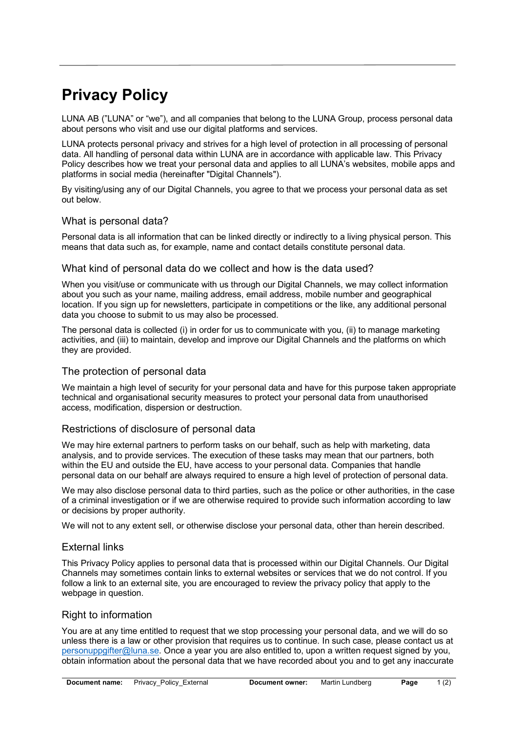# **Privacy Policy**

LUNA AB ("LUNA" or "we"), and all companies that belong to the LUNA Group, process personal data about persons who visit and use our digital platforms and services.

LUNA protects personal privacy and strives for a high level of protection in all processing of personal data. All handling of personal data within LUNA are in accordance with applicable law. This Privacy Policy describes how we treat your personal data and applies to all LUNA's websites, mobile apps and platforms in social media (hereinafter "Digital Channels").

By visiting/using any of our Digital Channels, you agree to that we process your personal data as set out below.

### What is personal data?

Personal data is all information that can be linked directly or indirectly to a living physical person. This means that data such as, for example, name and contact details constitute personal data.

### What kind of personal data do we collect and how is the data used?

When you visit/use or communicate with us through our Digital Channels, we may collect information about you such as your name, mailing address, email address, mobile number and geographical location. If you sign up for newsletters, participate in competitions or the like, any additional personal data you choose to submit to us may also be processed.

The personal data is collected (i) in order for us to communicate with you, (ii) to manage marketing activities, and (iii) to maintain, develop and improve our Digital Channels and the platforms on which they are provided.

## The protection of personal data

We maintain a high level of security for your personal data and have for this purpose taken appropriate technical and organisational security measures to protect your personal data from unauthorised access, modification, dispersion or destruction.

### Restrictions of disclosure of personal data

We may hire external partners to perform tasks on our behalf, such as help with marketing, data analysis, and to provide services. The execution of these tasks may mean that our partners, both within the EU and outside the EU, have access to your personal data. Companies that handle personal data on our behalf are always required to ensure a high level of protection of personal data.

We may also disclose personal data to third parties, such as the police or other authorities, in the case of a criminal investigation or if we are otherwise required to provide such information according to law or decisions by proper authority.

We will not to any extent sell, or otherwise disclose your personal data, other than herein described.

### External links

This Privacy Policy applies to personal data that is processed within our Digital Channels. Our Digital Channels may sometimes contain links to external websites or services that we do not control. If you follow a link to an external site, you are encouraged to review the privacy policy that apply to the webpage in question.

## Right to information

You are at any time entitled to request that we stop processing your personal data, and we will do so unless there is a law or other provision that requires us to continue. In such case, please contact us at personuppgifter@luna.se. Once a year you are also entitled to, upon a written request signed by you, obtain information about the personal data that we have recorded about you and to get any inaccurate